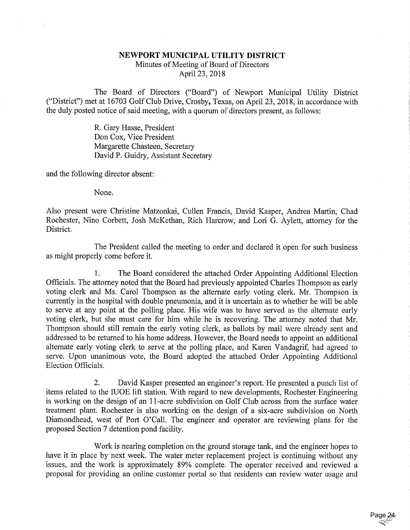## NEWPORT MUNICIPAL UTILITY DISTRICT Minutes of Meeting of Board of Directors

April 23, 2018

The Board of Directors ("Board") of Newport Municipal Utility District ("District") met at 16703 Golf Club Drive, Crosby, Texas, on April 23, 2018, in accordance with the duly posted notice of said meeting, with a quorum of directors present, as follows:

> R. Gary Hasse, President Don Cox, Vice President Margarette Chasteen, Secretary David P. Guidry, Assistant Secretary

and the following director absent:

None.

Also present were Christine Matzonkai, Cullen Francis, David Kasper, Andrea Martin, Chad Rochester, Nino Corbett, Josh McKethan, Rich Harcrow, and Lori G. Aylett, attorney for the District.

The President called the meeting to order and declared it open for such business as might properly come before it.

1, The Board considered the attached Order Appointing Additional Election Officials. The attorney noted that the Board had previously appointed Charles Thompson as early voting clerk and Ms. Carol Thompson as the alternate early voting clerk. Mr. Thompson is currently in the hospital with double pneumonia, and it is uncertain as to whether he will be able to serve at any point at the polling place. His wife was to have served as the alternate early voting clerk, but she must care for him while he is recovering. The attorney noted that Mr. Thompson should still remain the early voting clerk, as ballots by mail were already sent and addressed to be returned to his home address. However, the Board needs to appoint an additional alternate early voting clerk to serve at the polling place, and Karen Vandagrif, had agreed to serve. Upon unanimous vote, the Board adopted the attached Order Appointing Additional Election Officials.

2. David Kasper presented an engineer's report. He presented a punch list of items related to the IUOE lift station. With regard to new developments, Rochester Engineering is working on the design of an 11-acre subdivision on Golf Club across from the surface water treatment plant. Rochester is also working on the design of a six-acre subdivision on North Diamondhead, west of Port 0'Call. The engineer and operator are reviewing plans for the proposed Section 7 detention pond facility.

Work is nearing completion on the ground storage tank, and the engineer hopes to have it in place by next week. The water meter replacement project is continuing without any issues, and the work is approximately 89% complete. The operator received and reviewed a proposal for providing an online customer portal so that residents can review water usage and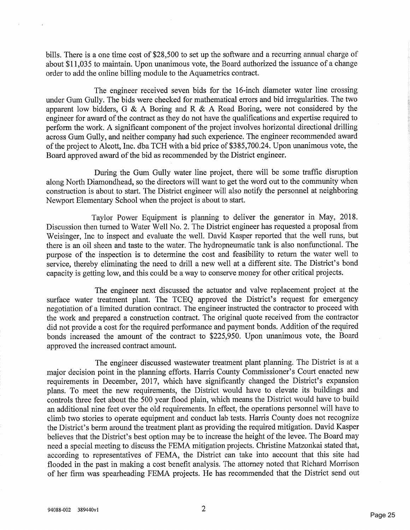bills. There is a one time cost of \$28,500 to set up the software and a recurring annual charge of about \$11,035 to maintain. Upon unanimous vote, the Board authorized the issuance of a change order to add the online billing module to the Aquametrics contract.

The engineer received seven bids for the 16-inch diameter water line crossing under Gum Gully. The bids were checked for mathematical errors and bid irregularities. The two apparent low bidders, G & A Boring and R & A Road Boring, were not considered by the engineer for award of the contract as they do not have the qualifications and expertise required to perform the work. A significant component of the project involves horizontal directional drilling across Gum Gully, and neither company had such experience. The engineer recommended award of the project to Alcott, Inc. dba TCH with a bid price of \$385,700.24. Upon unanimous vote, the Board approved award of the bid as recommended by the District engineer.

During the Gum Gully water line project, there will be some traffic disruption along North Diamondhead, so the directors will want to get the word out to the community when constmction is about to start. The District engineer will also notify the personnel at neighboring Newport Elementary School when the project is about to start.

Taylor Power Equipment is planning to deliver the generator in May, 2018. Discussion then turned to Water Well No. 2. The District engineer has requested a proposal from Weisinger, Inc to inspect and evaluate the well. David Kasper reported that the well runs, but there is an oil sheen and taste to the water. The hydropneumatic tank is also nonfunctional. The purpose of the inspection is to determine the cost and feasibility to return the water well to service, thereby eliminating the need to drill a new well at a different site. The District's bond capacity is getting low, and this could be a way to conserve money for other critical projects.

The engineer next discussed the actuator and valve replacement project at the surface water treatment plant. The TCEQ approved the District's request for emergency negotiation of a limited duration contract. The engineer instructed the contractor to proceed with the work and prepared a construction contract. The original quote received from the contractor did not provide a cost for the required performance and payment bonds. Addition of the required bonds increased the amount of the contract to \$225,950. Upon unanimous vote, the Board approved the increased contract amount.

The engineer discussed wastewater treatment plant planning. The District is at a major decision point in the planning efforts. Harris County Commissioner's Court enacted new requirements in December, 2017, which have significantly changed the District's expansion plans. To meet the new requirements, the District would have to elevate its buildings and controls three feet about the 500 year flood plain, which means the District would have to build an additional nine feet over the old requirements. In effect, the operations personnel will have to climb two stories to operate equipment and conduct lab tests. Harris County does not recognize the District's berm around the treatment plant as providing the required mitigation. David Kasper believes that the District's best option may be to increase the height of the levee. The Board may need a special meeting to discuss the FEMA mitigation projects. Christine Matzonkai stated that, according to representatives of FEMA, the District can take into account that this site had flooded in the past in making a cost benefit analysis. The attorney noted that Richard Morrison of her firm was spearheading FEMA projects. He has recommended that the District send out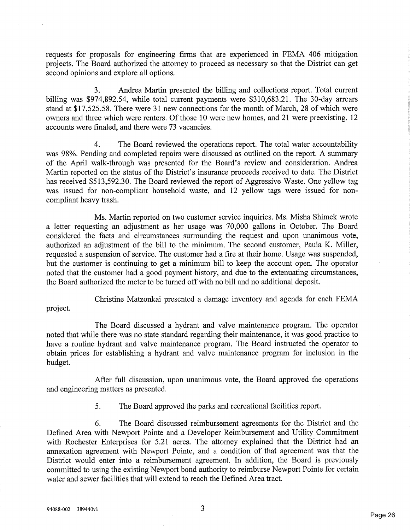requests for proposals for engineering firms that are experienced in FEMA 406 mitigation projects. The Board authorized the attorney to proceed as necessary so that the District can get second opinions and explore all options.

3. Andrea Martin presented the billing and collections report. Total current billing was \$974,892.54, while total current payments were \$310,683.21. The 30-day arrears stand at \$17,525.58. There were 31 new connections for the month of March, 28 of which were owners and three which were renters. Of those 10 were new homes, and 21 were preexisting. 12 accounts were finaled, and there were 73 vacancies.

4. The Board reviewed the operations report. The total water accountability was 98%. Pending and completed repairs were discussed as outlined on the report. A summary of the April walk-through was presented for the Board's review and consideration. Andrea Martin reported on the status of the District's insurance proceeds received to date. The District has received \$513,592.30. The Board reviewed the report of Aggressive Waste. One yellow tag was issued for non-compliant household waste, and 12 yellow tags were issued for noncompliant heavy trash.

Ms. Martin reported on two customer service inquiries. Ms. Misha Shimek wrote a letter requesting an adjustment as her usage was 70,000 gallons in October. The Board considered the facts and circumstances surrounding the request and upon unanimous vote, authorized an adjustment of the bill to the minimum. The second customer, Paula K. Miller, requested a suspension of service. The customer had a fire at their home. Usage was suspended, but the customer is continuing to get a minimum bill to keep the account open. The operator noted that the customer had a good payment history, and due to the extenuating circumstances, the Board authorized the meter to be turned off with no bill and no additional deposit.

Christine Matzonkai presented a damage inventory and agenda for each FEMA project.

The Board discussed a hydrant and valve maintenance program. The operator noted that while there was no state standard regarding their maintenance, it was good practice to have a routine hydrant and valve maintenance program. The Board instructed the operator to obtain prices for establishing a hydrant and valve maintenance program for inclusion in the budget.

After full discussion, upon unanimous vote, the Board approved the operations and engineering matters as presented.

5. The Board approved the parks and recreational facilities report.

6. The Board discussed reimbursement agreements for the District and the Defined Area with Newport Pointe and a Developer Reimbursement and Utility Commitment with Rochester Enterprises for 5.21 acres. The attorney explained that the District had an annexation agreement with Newport Pointe, and a condition of that agreement was that the District would enter into a reimbursement agreement. In addition, the Board is previously committed to using the existing Newport bond authority to reimburse Newport Pointe for certain water and sewer facilities that will extend to reach the Defined Area tract.